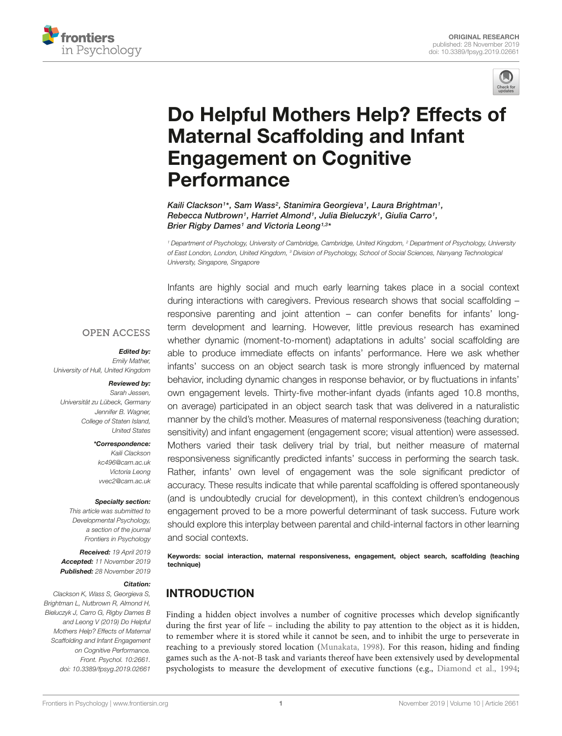



# [Do Helpful Mothers Help? Effects of](https://www.frontiersin.org/articles/10.3389/fpsyg.2019.02661/full) Maternal Scaffolding and Infant Engagement on Cognitive Performance

[Kaili Clackson](http://loop.frontiersin.org/people/111419/overview)1\*, [Sam Wass](http://loop.frontiersin.org/people/124335/overview)<sup>2</sup>, [Stanimira Georgieva](http://loop.frontiersin.org/people/538659/overview)1, Laura Brightman1, Rebecca Nutbrown1, Harriet Almond1, Julia Bieluczyk1, Giulia Carro1, [Brier Rigby Dames](http://loop.frontiersin.org/people/761380/overview)1 and [Victoria Leong](http://loop.frontiersin.org/people/70946/overview)1,3\*

<sup>1</sup> Department of Psychology, University of Cambridge, Cambridge, United Kingdom, <sup>2</sup> Department of Psychology, University of East London, London, United Kingdom, <sup>3</sup> Division of Psychology, School of Social Sciences, Nanyang Technological University, Singapore, Singapore

Infants are highly social and much early learning takes place in a social context

#### **OPEN ACCESS**

#### Edited by:

Emily Mather, University of Hull, United Kingdom

#### Reviewed by:

Sarah Jessen, Universität zu Lübeck, Germany Jennifer B. Wagner, College of Staten Island, United States

#### \*Correspondence:

Kaili Clackson kc496@cam.ac.uk Victoria Leong vvec2@cam.ac.uk

#### Specialty section:

This article was submitted to Developmental Psychology, a section of the journal Frontiers in Psychology

Received: 19 April 2019 Accepted: 11 November 2019 Published: 28 November 2019

#### Citation:

Clackson K, Wass S, Georgieva S, Brightman L, Nutbrown R, Almond H, Bieluczyk J, Carro G, Rigby Dames B and Leong V (2019) Do Helpful Mothers Help? Effects of Maternal Scaffolding and Infant Engagement on Cognitive Performance. Front. Psychol. 10:2661. doi: [10.3389/fpsyg.2019.02661](https://doi.org/10.3389/fpsyg.2019.02661)

during interactions with caregivers. Previous research shows that social scaffolding – responsive parenting and joint attention – can confer benefits for infants' longterm development and learning. However, little previous research has examined whether dynamic (moment-to-moment) adaptations in adults' social scaffolding are able to produce immediate effects on infants' performance. Here we ask whether infants' success on an object search task is more strongly influenced by maternal behavior, including dynamic changes in response behavior, or by fluctuations in infants' own engagement levels. Thirty-five mother-infant dyads (infants aged 10.8 months, on average) participated in an object search task that was delivered in a naturalistic manner by the child's mother. Measures of maternal responsiveness (teaching duration; sensitivity) and infant engagement (engagement score; visual attention) were assessed. Mothers varied their task delivery trial by trial, but neither measure of maternal responsiveness significantly predicted infants' success in performing the search task. Rather, infants' own level of engagement was the sole significant predictor of accuracy. These results indicate that while parental scaffolding is offered spontaneously (and is undoubtedly crucial for development), in this context children's endogenous engagement proved to be a more powerful determinant of task success. Future work should explore this interplay between parental and child-internal factors in other learning and social contexts.

Keywords: social interaction, maternal responsiveness, engagement, object search, scaffolding (teaching technique)

# INTRODUCTION

Finding a hidden object involves a number of cognitive processes which develop significantly during the first year of life – including the ability to pay attention to the object as it is hidden, to remember where it is stored while it cannot be seen, and to inhibit the urge to perseverate in reaching to a previously stored location [\(Munakata, 1998\)](#page-9-0). For this reason, hiding and finding games such as the A-not-B task and variants thereof have been extensively used by developmental psychologists to measure the development of executive functions (e.g., [Diamond et al., 1994;](#page-9-1)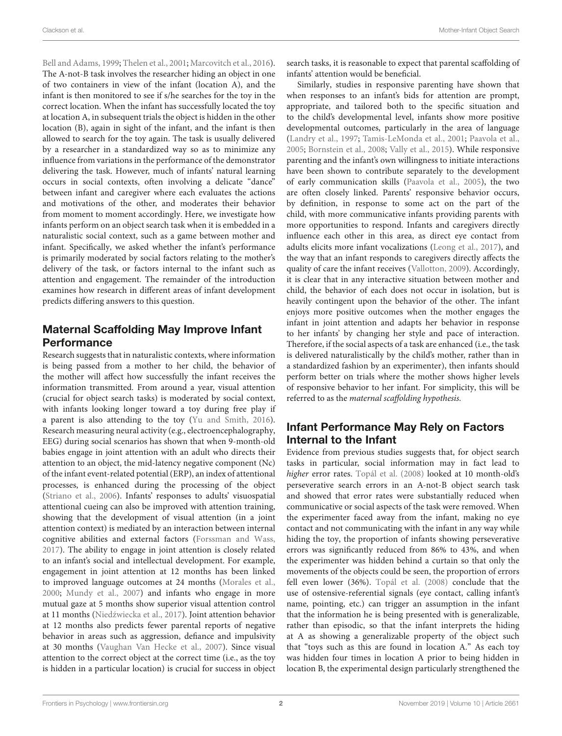[Bell and Adams, 1999;](#page-9-2) [Thelen et al., 2001;](#page-9-3) [Marcovitch et al., 2016\)](#page-9-4). The A-not-B task involves the researcher hiding an object in one of two containers in view of the infant (location A), and the infant is then monitored to see if s/he searches for the toy in the correct location. When the infant has successfully located the toy at location A, in subsequent trials the object is hidden in the other location (B), again in sight of the infant, and the infant is then allowed to search for the toy again. The task is usually delivered by a researcher in a standardized way so as to minimize any influence from variations in the performance of the demonstrator delivering the task. However, much of infants' natural learning occurs in social contexts, often involving a delicate "dance" between infant and caregiver where each evaluates the actions and motivations of the other, and moderates their behavior from moment to moment accordingly. Here, we investigate how infants perform on an object search task when it is embedded in a naturalistic social context, such as a game between mother and infant. Specifically, we asked whether the infant's performance is primarily moderated by social factors relating to the mother's delivery of the task, or factors internal to the infant such as attention and engagement. The remainder of the introduction examines how research in different areas of infant development predicts differing answers to this question.

# Maternal Scaffolding May Improve Infant Performance

Research suggests that in naturalistic contexts, where information is being passed from a mother to her child, the behavior of the mother will affect how successfully the infant receives the information transmitted. From around a year, visual attention (crucial for object search tasks) is moderated by social context, with infants looking longer toward a toy during free play if a parent is also attending to the toy [\(Yu and Smith, 2016\)](#page-9-5). Research measuring neural activity (e.g., electroencephalography, EEG) during social scenarios has shown that when 9-month-old babies engage in joint attention with an adult who directs their attention to an object, the mid-latency negative component (Nc) of the infant event-related potential (ERP), an index of attentional processes, is enhanced during the processing of the object [\(Striano et al., 2006\)](#page-9-6). Infants' responses to adults' visuospatial attentional cueing can also be improved with attention training, showing that the development of visual attention (in a joint attention context) is mediated by an interaction between internal cognitive abilities and external factors [\(Forssman and Wass,](#page-9-7) [2017\)](#page-9-7). The ability to engage in joint attention is closely related to an infant's social and intellectual development. For example, engagement in joint attention at 12 months has been linked to improved language outcomes at 24 months [\(Morales et al.,](#page-9-8) [2000;](#page-9-8) [Mundy et al., 2007\)](#page-9-9) and infants who engage in more mutual gaze at 5 months show superior visual attention control at 11 months (Niedźwiecka et al., 2017). Joint attention behavior at 12 months also predicts fewer parental reports of negative behavior in areas such as aggression, defiance and impulsivity at 30 months [\(Vaughan Van Hecke et al., 2007\)](#page-9-11). Since visual attention to the correct object at the correct time (i.e., as the toy is hidden in a particular location) is crucial for success in object search tasks, it is reasonable to expect that parental scaffolding of infants' attention would be beneficial.

Similarly, studies in responsive parenting have shown that when responses to an infant's bids for attention are prompt, appropriate, and tailored both to the specific situation and to the child's developmental level, infants show more positive developmental outcomes, particularly in the area of language [\(Landry et al., 1997;](#page-9-12) [Tamis-LeMonda et al., 2001;](#page-9-13) [Paavola et al.,](#page-9-14) [2005;](#page-9-14) [Bornstein et al., 2008;](#page-9-15) [Vally et al., 2015\)](#page-9-16). While responsive parenting and the infant's own willingness to initiate interactions have been shown to contribute separately to the development of early communication skills [\(Paavola et al., 2005\)](#page-9-14), the two are often closely linked. Parents' responsive behavior occurs, by definition, in response to some act on the part of the child, with more communicative infants providing parents with more opportunities to respond. Infants and caregivers directly influence each other in this area, as direct eye contact from adults elicits more infant vocalizations [\(Leong et al., 2017\)](#page-9-17), and the way that an infant responds to caregivers directly affects the quality of care the infant receives [\(Vallotton, 2009\)](#page-9-18). Accordingly, it is clear that in any interactive situation between mother and child, the behavior of each does not occur in isolation, but is heavily contingent upon the behavior of the other. The infant enjoys more positive outcomes when the mother engages the infant in joint attention and adapts her behavior in response to her infants' by changing her style and pace of interaction. Therefore, if the social aspects of a task are enhanced (i.e., the task is delivered naturalistically by the child's mother, rather than in a standardized fashion by an experimenter), then infants should perform better on trials where the mother shows higher levels of responsive behavior to her infant. For simplicity, this will be referred to as the maternal scaffolding hypothesis.

# Infant Performance May Rely on Factors Internal to the Infant

Evidence from previous studies suggests that, for object search tasks in particular, social information may in fact lead to higher error rates. [Topál et al.](#page-9-19) [\(2008\)](#page-9-19) looked at 10 month-old's perseverative search errors in an A-not-B object search task and showed that error rates were substantially reduced when communicative or social aspects of the task were removed. When the experimenter faced away from the infant, making no eye contact and not communicating with the infant in any way while hiding the toy, the proportion of infants showing perseverative errors was significantly reduced from 86% to 43%, and when the experimenter was hidden behind a curtain so that only the movements of the objects could be seen, the proportion of errors fell even lower (36%). [Topál et al.](#page-9-19) [\(2008\)](#page-9-19) conclude that the use of ostensive-referential signals (eye contact, calling infant's name, pointing, etc.) can trigger an assumption in the infant that the information he is being presented with is generalizable, rather than episodic, so that the infant interprets the hiding at A as showing a generalizable property of the object such that "toys such as this are found in location A." As each toy was hidden four times in location A prior to being hidden in location B, the experimental design particularly strengthened the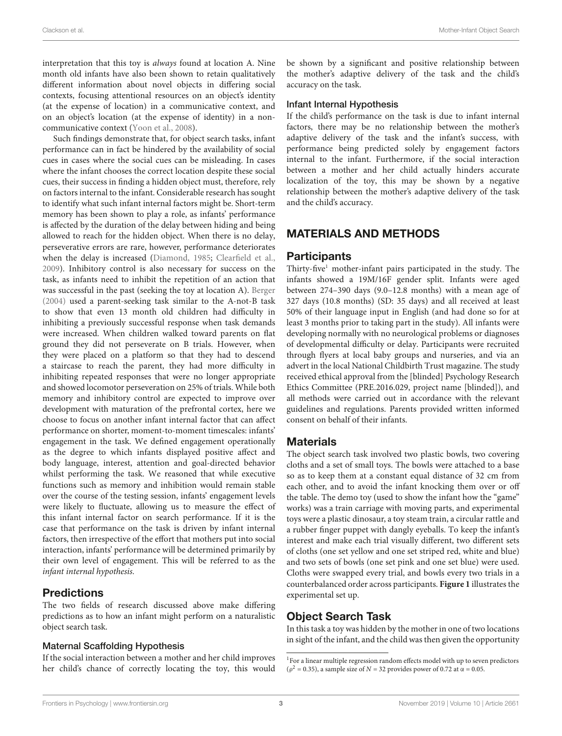interpretation that this toy is always found at location A. Nine month old infants have also been shown to retain qualitatively different information about novel objects in differing social contexts, focusing attentional resources on an object's identity (at the expense of location) in a communicative context, and on an object's location (at the expense of identity) in a noncommunicative context [\(Yoon et al., 2008\)](#page-9-20).

Such findings demonstrate that, for object search tasks, infant performance can in fact be hindered by the availability of social cues in cases where the social cues can be misleading. In cases where the infant chooses the correct location despite these social cues, their success in finding a hidden object must, therefore, rely on factors internal to the infant. Considerable research has sought to identify what such infant internal factors might be. Short-term memory has been shown to play a role, as infants' performance is affected by the duration of the delay between hiding and being allowed to reach for the hidden object. When there is no delay, perseverative errors are rare, however, performance deteriorates when the delay is increased [\(Diamond, 1985;](#page-9-21) [Clearfield et al.,](#page-9-22) [2009\)](#page-9-22). Inhibitory control is also necessary for success on the task, as infants need to inhibit the repetition of an action that was successful in the past (seeking the toy at location A). [Berger](#page-9-23) [\(2004\)](#page-9-23) used a parent-seeking task similar to the A-not-B task to show that even 13 month old children had difficulty in inhibiting a previously successful response when task demands were increased. When children walked toward parents on flat ground they did not perseverate on B trials. However, when they were placed on a platform so that they had to descend a staircase to reach the parent, they had more difficulty in inhibiting repeated responses that were no longer appropriate and showed locomotor perseveration on 25% of trials. While both memory and inhibitory control are expected to improve over development with maturation of the prefrontal cortex, here we choose to focus on another infant internal factor that can affect performance on shorter, moment-to-moment timescales: infants' engagement in the task. We defined engagement operationally as the degree to which infants displayed positive affect and body language, interest, attention and goal-directed behavior whilst performing the task. We reasoned that while executive functions such as memory and inhibition would remain stable over the course of the testing session, infants' engagement levels were likely to fluctuate, allowing us to measure the effect of this infant internal factor on search performance. If it is the case that performance on the task is driven by infant internal factors, then irrespective of the effort that mothers put into social interaction, infants' performance will be determined primarily by their own level of engagement. This will be referred to as the infant internal hypothesis.

## **Predictions**

The two fields of research discussed above make differing predictions as to how an infant might perform on a naturalistic object search task.

#### Maternal Scaffolding Hypothesis

If the social interaction between a mother and her child improves her child's chance of correctly locating the toy, this would

be shown by a significant and positive relationship between the mother's adaptive delivery of the task and the child's accuracy on the task.

#### Infant Internal Hypothesis

If the child's performance on the task is due to infant internal factors, there may be no relationship between the mother's adaptive delivery of the task and the infant's success, with performance being predicted solely by engagement factors internal to the infant. Furthermore, if the social interaction between a mother and her child actually hinders accurate localization of the toy, this may be shown by a negative relationship between the mother's adaptive delivery of the task and the child's accuracy.

## MATERIALS AND METHODS

## **Participants**

Thirty-five<sup>[1](#page-2-0)</sup> mother-infant pairs participated in the study. The infants showed a 19M/16F gender split. Infants were aged between 274–390 days (9.0–12.8 months) with a mean age of 327 days (10.8 months) (SD: 35 days) and all received at least 50% of their language input in English (and had done so for at least 3 months prior to taking part in the study). All infants were developing normally with no neurological problems or diagnoses of developmental difficulty or delay. Participants were recruited through flyers at local baby groups and nurseries, and via an advert in the local National Childbirth Trust magazine. The study received ethical approval from the [blinded] Psychology Research Ethics Committee (PRE.2016.029, project name [blinded]), and all methods were carried out in accordance with the relevant guidelines and regulations. Parents provided written informed consent on behalf of their infants.

## **Materials**

The object search task involved two plastic bowls, two covering cloths and a set of small toys. The bowls were attached to a base so as to keep them at a constant equal distance of 32 cm from each other, and to avoid the infant knocking them over or off the table. The demo toy (used to show the infant how the "game" works) was a train carriage with moving parts, and experimental toys were a plastic dinosaur, a toy steam train, a circular rattle and a rubber finger puppet with dangly eyeballs. To keep the infant's interest and make each trial visually different, two different sets of cloths (one set yellow and one set striped red, white and blue) and two sets of bowls (one set pink and one set blue) were used. Cloths were swapped every trial, and bowls every two trials in a counterbalanced order across participants. **[Figure 1](#page-3-0)** illustrates the experimental set up.

## Object Search Task

In this task a toy was hidden by the mother in one of two locations in sight of the infant, and the child was then given the opportunity

<span id="page-2-0"></span><sup>&</sup>lt;sup>1</sup>For a linear multiple regression random effects model with up to seven predictors ( $\rho^2$  = 0.35), a sample size of *N* = 32 provides power of 0.72 at  $\alpha$  = 0.05.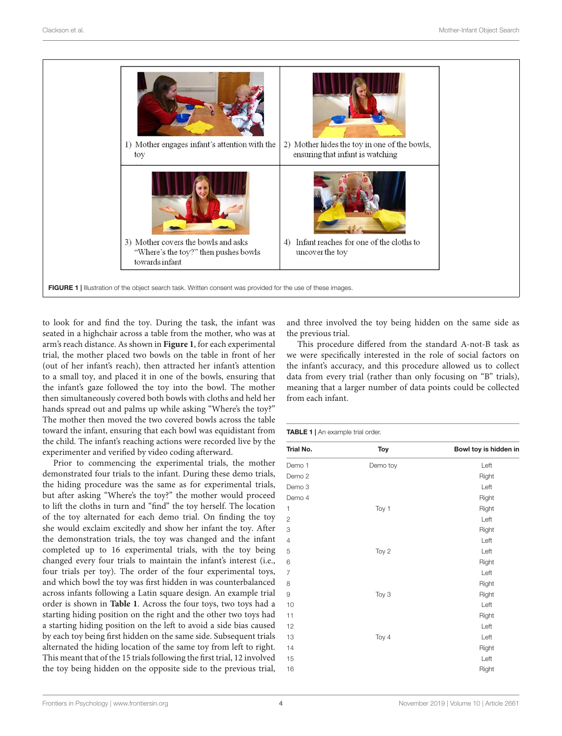

<span id="page-3-0"></span>to look for and find the toy. During the task, the infant was seated in a highchair across a table from the mother, who was at arm's reach distance. As shown in **[Figure 1](#page-3-0)**, for each experimental trial, the mother placed two bowls on the table in front of her (out of her infant's reach), then attracted her infant's attention to a small toy, and placed it in one of the bowls, ensuring that the infant's gaze followed the toy into the bowl. The mother then simultaneously covered both bowls with cloths and held her hands spread out and palms up while asking "Where's the toy?" The mother then moved the two covered bowls across the table toward the infant, ensuring that each bowl was equidistant from the child. The infant's reaching actions were recorded live by the experimenter and verified by video coding afterward.

Prior to commencing the experimental trials, the mother demonstrated four trials to the infant. During these demo trials, the hiding procedure was the same as for experimental trials, but after asking "Where's the toy?" the mother would proceed to lift the cloths in turn and "find" the toy herself. The location of the toy alternated for each demo trial. On finding the toy she would exclaim excitedly and show her infant the toy. After the demonstration trials, the toy was changed and the infant completed up to 16 experimental trials, with the toy being changed every four trials to maintain the infant's interest (i.e., four trials per toy). The order of the four experimental toys, and which bowl the toy was first hidden in was counterbalanced across infants following a Latin square design. An example trial order is shown in **[Table 1](#page-3-1)**. Across the four toys, two toys had a starting hiding position on the right and the other two toys had a starting hiding position on the left to avoid a side bias caused by each toy being first hidden on the same side. Subsequent trials alternated the hiding location of the same toy from left to right. This meant that of the 15 trials following the first trial, 12 involved the toy being hidden on the opposite side to the previous trial, and three involved the toy being hidden on the same side as the previous trial.

This procedure differed from the standard A-not-B task as we were specifically interested in the role of social factors on the infant's accuracy, and this procedure allowed us to collect data from every trial (rather than only focusing on "B" trials), meaning that a larger number of data points could be collected from each infant.

<span id="page-3-1"></span>

| Trial No.         | <b>Toy</b> | Bowl toy is hidden in |
|-------------------|------------|-----------------------|
| Demo 1            | Demo toy   | Left                  |
| Demo <sub>2</sub> |            | Right                 |
| Demo 3            |            | Left                  |
| Demo 4            |            | Right                 |
| 1                 | Toy 1      | Right                 |
| $\overline{c}$    |            | Left                  |
| 3                 |            | Right                 |
| 4                 |            | Left                  |
| 5                 | Toy 2      | Left                  |
| 6                 |            | Right                 |
| $\overline{7}$    |            | Left                  |
| 8                 |            | Right                 |
| 9                 | Toy 3      | Right                 |
| 10                |            | Left                  |
| 11                |            | Right                 |
| 12                |            | Left                  |
| 13                | Toy 4      | Left                  |
| 14                |            | Right                 |
| 15                |            | Left                  |
| 16                |            | Right                 |
|                   |            |                       |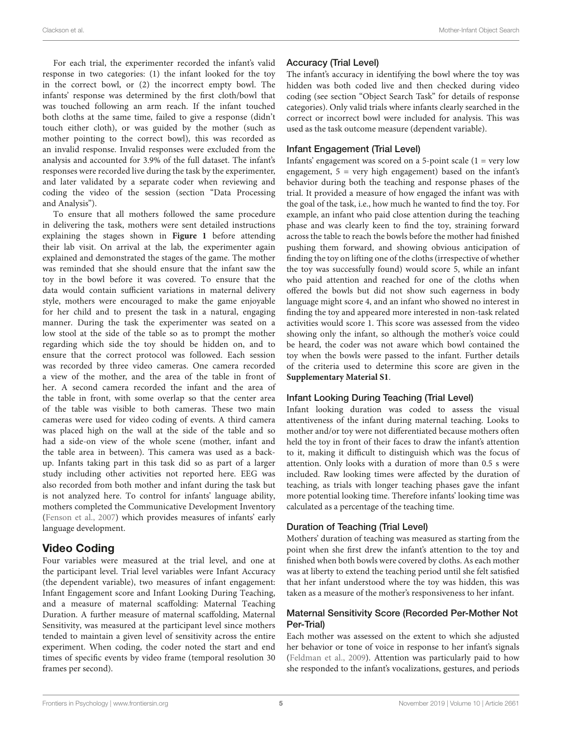For each trial, the experimenter recorded the infant's valid response in two categories: (1) the infant looked for the toy in the correct bowl, or (2) the incorrect empty bowl. The infants' response was determined by the first cloth/bowl that was touched following an arm reach. If the infant touched both cloths at the same time, failed to give a response (didn't touch either cloth), or was guided by the mother (such as mother pointing to the correct bowl), this was recorded as an invalid response. Invalid responses were excluded from the analysis and accounted for 3.9% of the full dataset. The infant's responses were recorded live during the task by the experimenter, and later validated by a separate coder when reviewing and coding the video of the session (section "Data Processing and Analysis").

To ensure that all mothers followed the same procedure in delivering the task, mothers were sent detailed instructions explaining the stages shown in **[Figure 1](#page-3-0)** before attending their lab visit. On arrival at the lab, the experimenter again explained and demonstrated the stages of the game. The mother was reminded that she should ensure that the infant saw the toy in the bowl before it was covered. To ensure that the data would contain sufficient variations in maternal delivery style, mothers were encouraged to make the game enjoyable for her child and to present the task in a natural, engaging manner. During the task the experimenter was seated on a low stool at the side of the table so as to prompt the mother regarding which side the toy should be hidden on, and to ensure that the correct protocol was followed. Each session was recorded by three video cameras. One camera recorded a view of the mother, and the area of the table in front of her. A second camera recorded the infant and the area of the table in front, with some overlap so that the center area of the table was visible to both cameras. These two main cameras were used for video coding of events. A third camera was placed high on the wall at the side of the table and so had a side-on view of the whole scene (mother, infant and the table area in between). This camera was used as a backup. Infants taking part in this task did so as part of a larger study including other activities not reported here. EEG was also recorded from both mother and infant during the task but is not analyzed here. To control for infants' language ability, mothers completed the Communicative Development Inventory [\(Fenson et al., 2007\)](#page-9-24) which provides measures of infants' early language development.

## Video Coding

Four variables were measured at the trial level, and one at the participant level. Trial level variables were Infant Accuracy (the dependent variable), two measures of infant engagement: Infant Engagement score and Infant Looking During Teaching, and a measure of maternal scaffolding: Maternal Teaching Duration. A further measure of maternal scaffolding, Maternal Sensitivity, was measured at the participant level since mothers tended to maintain a given level of sensitivity across the entire experiment. When coding, the coder noted the start and end times of specific events by video frame (temporal resolution 30 frames per second).

## Accuracy (Trial Level)

The infant's accuracy in identifying the bowl where the toy was hidden was both coded live and then checked during video coding (see section "Object Search Task" for details of response categories). Only valid trials where infants clearly searched in the correct or incorrect bowl were included for analysis. This was used as the task outcome measure (dependent variable).

#### Infant Engagement (Trial Level)

Infants' engagement was scored on a 5-point scale (1 = very low engagement,  $5 = \text{very high engagement}$ ) based on the infant's behavior during both the teaching and response phases of the trial. It provided a measure of how engaged the infant was with the goal of the task, i.e., how much he wanted to find the toy. For example, an infant who paid close attention during the teaching phase and was clearly keen to find the toy, straining forward across the table to reach the bowls before the mother had finished pushing them forward, and showing obvious anticipation of finding the toy on lifting one of the cloths (irrespective of whether the toy was successfully found) would score 5, while an infant who paid attention and reached for one of the cloths when offered the bowls but did not show such eagerness in body language might score 4, and an infant who showed no interest in finding the toy and appeared more interested in non-task related activities would score 1. This score was assessed from the video showing only the infant, so although the mother's voice could be heard, the coder was not aware which bowl contained the toy when the bowls were passed to the infant. Further details of the criteria used to determine this score are given in the **[Supplementary Material S1](#page-8-0)**.

## Infant Looking During Teaching (Trial Level)

Infant looking duration was coded to assess the visual attentiveness of the infant during maternal teaching. Looks to mother and/or toy were not differentiated because mothers often held the toy in front of their faces to draw the infant's attention to it, making it difficult to distinguish which was the focus of attention. Only looks with a duration of more than 0.5 s were included. Raw looking times were affected by the duration of teaching, as trials with longer teaching phases gave the infant more potential looking time. Therefore infants' looking time was calculated as a percentage of the teaching time.

## Duration of Teaching (Trial Level)

Mothers' duration of teaching was measured as starting from the point when she first drew the infant's attention to the toy and finished when both bowls were covered by cloths. As each mother was at liberty to extend the teaching period until she felt satisfied that her infant understood where the toy was hidden, this was taken as a measure of the mother's responsiveness to her infant.

#### Maternal Sensitivity Score (Recorded Per-Mother Not Per-Trial)

Each mother was assessed on the extent to which she adjusted her behavior or tone of voice in response to her infant's signals [\(Feldman et al., 2009\)](#page-9-25). Attention was particularly paid to how she responded to the infant's vocalizations, gestures, and periods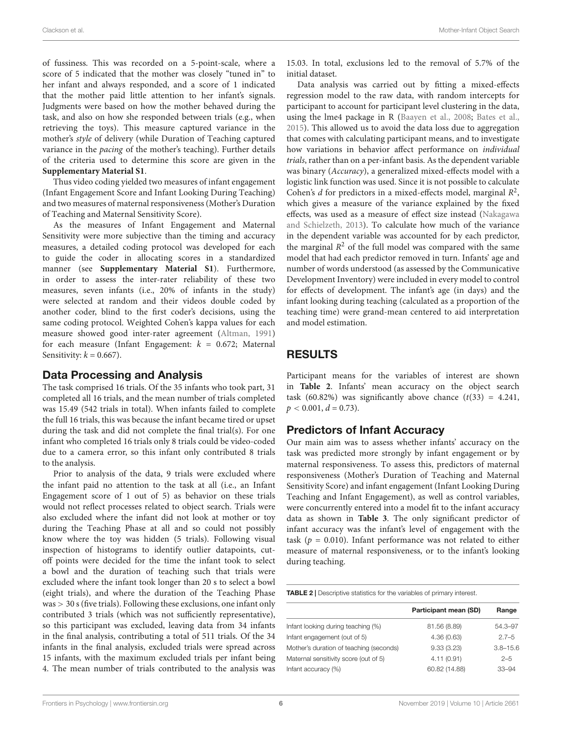of fussiness. This was recorded on a 5-point-scale, where a score of 5 indicated that the mother was closely "tuned in" to her infant and always responded, and a score of 1 indicated that the mother paid little attention to her infant's signals. Judgments were based on how the mother behaved during the task, and also on how she responded between trials (e.g., when retrieving the toys). This measure captured variance in the mother's style of delivery (while Duration of Teaching captured variance in the pacing of the mother's teaching). Further details of the criteria used to determine this score are given in the **[Supplementary Material S1](#page-8-0)**.

Thus video coding yielded two measures of infant engagement (Infant Engagement Score and Infant Looking During Teaching) and two measures of maternal responsiveness (Mother's Duration of Teaching and Maternal Sensitivity Score).

As the measures of Infant Engagement and Maternal Sensitivity were more subjective than the timing and accuracy measures, a detailed coding protocol was developed for each to guide the coder in allocating scores in a standardized manner (see **[Supplementary Material S1](#page-8-0)**). Furthermore, in order to assess the inter-rater reliability of these two measures, seven infants (i.e., 20% of infants in the study) were selected at random and their videos double coded by another coder, blind to the first coder's decisions, using the same coding protocol. Weighted Cohen's kappa values for each measure showed good inter-rater agreement [\(Altman, 1991\)](#page-9-26) for each measure (Infant Engagement:  $k = 0.672$ ; Maternal Sensitivity:  $k = 0.667$ ).

## Data Processing and Analysis

The task comprised 16 trials. Of the 35 infants who took part, 31 completed all 16 trials, and the mean number of trials completed was 15.49 (542 trials in total). When infants failed to complete the full 16 trials, this was because the infant became tired or upset during the task and did not complete the final trial(s). For one infant who completed 16 trials only 8 trials could be video-coded due to a camera error, so this infant only contributed 8 trials to the analysis.

Prior to analysis of the data, 9 trials were excluded where the infant paid no attention to the task at all (i.e., an Infant Engagement score of 1 out of 5) as behavior on these trials would not reflect processes related to object search. Trials were also excluded where the infant did not look at mother or toy during the Teaching Phase at all and so could not possibly know where the toy was hidden (5 trials). Following visual inspection of histograms to identify outlier datapoints, cutoff points were decided for the time the infant took to select a bowl and the duration of teaching such that trials were excluded where the infant took longer than 20 s to select a bowl (eight trials), and where the duration of the Teaching Phase was > 30 s (five trials). Following these exclusions, one infant only contributed 3 trials (which was not sufficiently representative), so this participant was excluded, leaving data from 34 infants in the final analysis, contributing a total of 511 trials. Of the 34 infants in the final analysis, excluded trials were spread across 15 infants, with the maximum excluded trials per infant being 4. The mean number of trials contributed to the analysis was 15.03. In total, exclusions led to the removal of 5.7% of the initial dataset.

Data analysis was carried out by fitting a mixed-effects regression model to the raw data, with random intercepts for participant to account for participant level clustering in the data, using the lme4 package in R [\(Baayen et al., 2008;](#page-9-27) [Bates et al.,](#page-9-28) [2015\)](#page-9-28). This allowed us to avoid the data loss due to aggregation that comes with calculating participant means, and to investigate how variations in behavior affect performance on individual trials, rather than on a per-infant basis. As the dependent variable was binary (Accuracy), a generalized mixed-effects model with a logistic link function was used. Since it is not possible to calculate Cohen's  $d$  for predictors in a mixed-effects model, marginal  $R^2$ , which gives a measure of the variance explained by the fixed effects, was used as a measure of effect size instead [\(Nakagawa](#page-9-29) [and Schielzeth, 2013\)](#page-9-29). To calculate how much of the variance in the dependent variable was accounted for by each predictor, the marginal  $R^2$  of the full model was compared with the same model that had each predictor removed in turn. Infants' age and number of words understood (as assessed by the Communicative Development Inventory) were included in every model to control for effects of development. The infant's age (in days) and the infant looking during teaching (calculated as a proportion of the teaching time) were grand-mean centered to aid interpretation and model estimation.

# RESULTS

Participant means for the variables of interest are shown in **[Table 2](#page-5-0)**. Infants' mean accuracy on the object search task (60.82%) was significantly above chance  $(t(33) = 4.241$ ,  $p < 0.001, d = 0.73$ ).

## Predictors of Infant Accuracy

Our main aim was to assess whether infants' accuracy on the task was predicted more strongly by infant engagement or by maternal responsiveness. To assess this, predictors of maternal responsiveness (Mother's Duration of Teaching and Maternal Sensitivity Score) and infant engagement (Infant Looking During Teaching and Infant Engagement), as well as control variables, were concurrently entered into a model fit to the infant accuracy data as shown in **[Table 3](#page-6-0)**. The only significant predictor of infant accuracy was the infant's level of engagement with the task ( $p = 0.010$ ). Infant performance was not related to either measure of maternal responsiveness, or to the infant's looking during teaching.

<span id="page-5-0"></span>TABLE 2 | Descriptive statistics for the variables of primary interest.

|                                         | Participant mean (SD) | Range        |
|-----------------------------------------|-----------------------|--------------|
| Infant looking during teaching (%)      | 81.56 (8.89)          | 54.3-97      |
| Infant engagement (out of 5)            | 4.36(0.63)            | $2.7 - 5$    |
| Mother's duration of teaching (seconds) | 9.33(3.23)            | $3.8 - 15.6$ |
| Maternal sensitivity score (out of 5)   | 4.11(0.91)            | $2 - 5$      |
| Infant accuracy (%)                     | 60.82 (14.88)         | $33 - 94$    |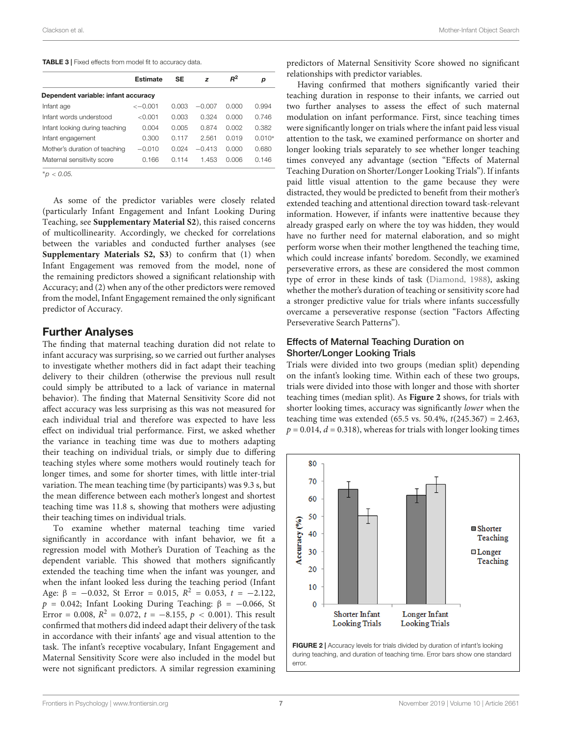#### <span id="page-6-0"></span>TABLE 3 | Fixed effects from model fit to accuracy data.

|                                     | <b>Estimate</b> | SE    | z        | $R^2$ | р        |  |
|-------------------------------------|-----------------|-------|----------|-------|----------|--|
| Dependent variable: infant accuracy |                 |       |          |       |          |  |
| Infant age                          | $<-0.001$       | 0.003 | $-0.007$ | 0.000 | 0.994    |  |
| Infant words understood             | < 0.001         | 0.003 | 0.324    | 0.000 | 0.746    |  |
| Infant looking during teaching      | 0.004           | 0.005 | 0.874    | 0.002 | 0.382    |  |
| Infant engagement                   | 0.300           | 0.117 | 2.561    | 0.019 | $0.010*$ |  |
| Mother's duration of teaching       | $-0.010$        | O 024 | $-0.413$ | O OOO | 0.680    |  |
| Maternal sensitivity score          | 0.166           | 0.114 | 1.453    | 0.006 | 0.146    |  |

 $*_{\text{D}} < 0.05$ .

As some of the predictor variables were closely related (particularly Infant Engagement and Infant Looking During Teaching, see **[Supplementary Material S2](#page-8-0)**), this raised concerns of multicollinearity. Accordingly, we checked for correlations between the variables and conducted further analyses (see **[Supplementary Materials S2, S3](#page-8-0)**) to confirm that (1) when Infant Engagement was removed from the model, none of the remaining predictors showed a significant relationship with Accuracy; and (2) when any of the other predictors were removed from the model, Infant Engagement remained the only significant predictor of Accuracy.

#### Further Analyses

The finding that maternal teaching duration did not relate to infant accuracy was surprising, so we carried out further analyses to investigate whether mothers did in fact adapt their teaching delivery to their children (otherwise the previous null result could simply be attributed to a lack of variance in maternal behavior). The finding that Maternal Sensitivity Score did not affect accuracy was less surprising as this was not measured for each individual trial and therefore was expected to have less effect on individual trial performance. First, we asked whether the variance in teaching time was due to mothers adapting their teaching on individual trials, or simply due to differing teaching styles where some mothers would routinely teach for longer times, and some for shorter times, with little inter-trial variation. The mean teaching time (by participants) was 9.3 s, but the mean difference between each mother's longest and shortest teaching time was 11.8 s, showing that mothers were adjusting their teaching times on individual trials.

To examine whether maternal teaching time varied significantly in accordance with infant behavior, we fit a regression model with Mother's Duration of Teaching as the dependent variable. This showed that mothers significantly extended the teaching time when the infant was younger, and when the infant looked less during the teaching period (Infant Age:  $\beta = -0.032$ , St Error = 0.015,  $R^2 = 0.053$ ,  $t = -2.122$ ,  $p = 0.042$ ; Infant Looking During Teaching:  $\beta = -0.066$ , St Error = 0.008,  $R^2 = 0.072$ ,  $t = -8.155$ ,  $p < 0.001$ ). This result confirmed that mothers did indeed adapt their delivery of the task in accordance with their infants' age and visual attention to the task. The infant's receptive vocabulary, Infant Engagement and Maternal Sensitivity Score were also included in the model but were not significant predictors. A similar regression examining

predictors of Maternal Sensitivity Score showed no significant relationships with predictor variables.

Having confirmed that mothers significantly varied their teaching duration in response to their infants, we carried out two further analyses to assess the effect of such maternal modulation on infant performance. First, since teaching times were significantly longer on trials where the infant paid less visual attention to the task, we examined performance on shorter and longer looking trials separately to see whether longer teaching times conveyed any advantage (section "Effects of Maternal Teaching Duration on Shorter/Longer Looking Trials"). If infants paid little visual attention to the game because they were distracted, they would be predicted to benefit from their mother's extended teaching and attentional direction toward task-relevant information. However, if infants were inattentive because they already grasped early on where the toy was hidden, they would have no further need for maternal elaboration, and so might perform worse when their mother lengthened the teaching time, which could increase infants' boredom. Secondly, we examined perseverative errors, as these are considered the most common type of error in these kinds of task [\(Diamond, 1988\)](#page-9-30), asking whether the mother's duration of teaching or sensitivity score had a stronger predictive value for trials where infants successfully overcame a perseverative response (section "Factors Affecting Perseverative Search Patterns").

#### Effects of Maternal Teaching Duration on Shorter/Longer Looking Trials

Trials were divided into two groups (median split) depending on the infant's looking time. Within each of these two groups, trials were divided into those with longer and those with shorter teaching times (median split). As **[Figure 2](#page-6-1)** shows, for trials with shorter looking times, accuracy was significantly lower when the teaching time was extended (65.5 vs. 50.4%,  $t(245.367) = 2.463$ ,  $p = 0.014$ ,  $d = 0.318$ ), whereas for trials with longer looking times



<span id="page-6-1"></span>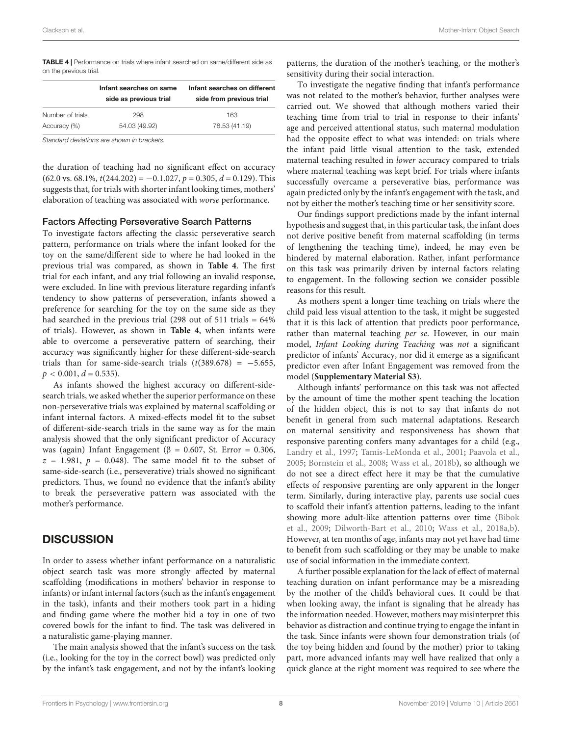<span id="page-7-0"></span>TABLE 4 | Performance on trials where infant searched on same/different side as on the previous trial.

|                  | Infant searches on same<br>side as previous trial | Infant searches on different<br>side from previous trial |
|------------------|---------------------------------------------------|----------------------------------------------------------|
| Number of trials | 298                                               | 163                                                      |
| Accuracy (%)     | 54.03 (49.92)                                     | 78.53 (41.19)                                            |

Standard deviations are shown in brackets.

the duration of teaching had no significant effect on accuracy  $(62.0 \text{ vs. } 68.1\%, t(244.202) = -0.1.027, p = 0.305, d = 0.129)$ . This suggests that, for trials with shorter infant looking times, mothers' elaboration of teaching was associated with worse performance.

#### Factors Affecting Perseverative Search Patterns

To investigate factors affecting the classic perseverative search pattern, performance on trials where the infant looked for the toy on the same/different side to where he had looked in the previous trial was compared, as shown in **[Table 4](#page-7-0)**. The first trial for each infant, and any trial following an invalid response, were excluded. In line with previous literature regarding infant's tendency to show patterns of perseveration, infants showed a preference for searching for the toy on the same side as they had searched in the previous trial (298 out of 511 trials = 64% of trials). However, as shown in **[Table 4](#page-7-0)**, when infants were able to overcome a perseverative pattern of searching, their accuracy was significantly higher for these different-side-search trials than for same-side-search trials  $(t(389.678) = -5.655,$  $p < 0.001, d = 0.535$ ).

As infants showed the highest accuracy on different-sidesearch trials, we asked whether the superior performance on these non-perseverative trials was explained by maternal scaffolding or infant internal factors. A mixed-effects model fit to the subset of different-side-search trials in the same way as for the main analysis showed that the only significant predictor of Accuracy was (again) Infant Engagement (β = 0.607, St. Error = 0.306,  $z = 1.981$ ,  $p = 0.048$ ). The same model fit to the subset of same-side-search (i.e., perseverative) trials showed no significant predictors. Thus, we found no evidence that the infant's ability to break the perseverative pattern was associated with the mother's performance.

## **DISCUSSION**

In order to assess whether infant performance on a naturalistic object search task was more strongly affected by maternal scaffolding (modifications in mothers' behavior in response to infants) or infant internal factors (such as the infant's engagement in the task), infants and their mothers took part in a hiding and finding game where the mother hid a toy in one of two covered bowls for the infant to find. The task was delivered in a naturalistic game-playing manner.

The main analysis showed that the infant's success on the task (i.e., looking for the toy in the correct bowl) was predicted only by the infant's task engagement, and not by the infant's looking patterns, the duration of the mother's teaching, or the mother's sensitivity during their social interaction.

To investigate the negative finding that infant's performance was not related to the mother's behavior, further analyses were carried out. We showed that although mothers varied their teaching time from trial to trial in response to their infants' age and perceived attentional status, such maternal modulation had the opposite effect to what was intended: on trials where the infant paid little visual attention to the task, extended maternal teaching resulted in lower accuracy compared to trials where maternal teaching was kept brief. For trials where infants successfully overcame a perseverative bias, performance was again predicted only by the infant's engagement with the task, and not by either the mother's teaching time or her sensitivity score.

Our findings support predictions made by the infant internal hypothesis and suggest that, in this particular task, the infant does not derive positive benefit from maternal scaffolding (in terms of lengthening the teaching time), indeed, he may even be hindered by maternal elaboration. Rather, infant performance on this task was primarily driven by internal factors relating to engagement. In the following section we consider possible reasons for this result.

As mothers spent a longer time teaching on trials where the child paid less visual attention to the task, it might be suggested that it is this lack of attention that predicts poor performance, rather than maternal teaching per se. However, in our main model, Infant Looking during Teaching was not a significant predictor of infants' Accuracy, nor did it emerge as a significant predictor even after Infant Engagement was removed from the model (**[Supplementary Material S3](#page-8-0)**).

Although infants' performance on this task was not affected by the amount of time the mother spent teaching the location of the hidden object, this is not to say that infants do not benefit in general from such maternal adaptations. Research on maternal sensitivity and responsiveness has shown that responsive parenting confers many advantages for a child (e.g., [Landry et al., 1997;](#page-9-12) [Tamis-LeMonda et al., 2001;](#page-9-13) [Paavola et al.,](#page-9-14) [2005;](#page-9-14) [Bornstein et al., 2008;](#page-9-15) [Wass et al., 2018b\)](#page-9-31), so although we do not see a direct effect here it may be that the cumulative effects of responsive parenting are only apparent in the longer term. Similarly, during interactive play, parents use social cues to scaffold their infant's attention patterns, leading to the infant showing more adult-like attention patterns over time [\(Bibok](#page-9-32) [et al., 2009;](#page-9-32) [Dilworth-Bart et al., 2010;](#page-9-33) [Wass et al., 2018a](#page-9-34)[,b\)](#page-9-31). However, at ten months of age, infants may not yet have had time to benefit from such scaffolding or they may be unable to make use of social information in the immediate context.

A further possible explanation for the lack of effect of maternal teaching duration on infant performance may be a misreading by the mother of the child's behavioral cues. It could be that when looking away, the infant is signaling that he already has the information needed. However, mothers may misinterpret this behavior as distraction and continue trying to engage the infant in the task. Since infants were shown four demonstration trials (of the toy being hidden and found by the mother) prior to taking part, more advanced infants may well have realized that only a quick glance at the right moment was required to see where the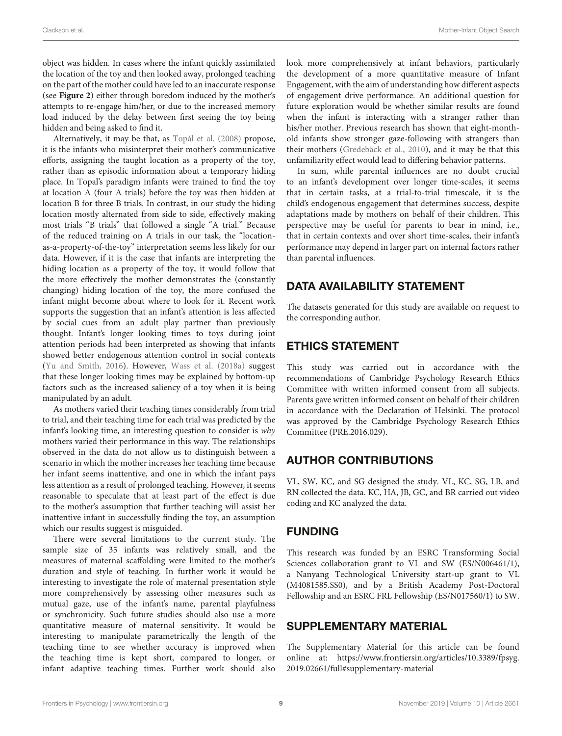object was hidden. In cases where the infant quickly assimilated the location of the toy and then looked away, prolonged teaching on the part of the mother could have led to an inaccurate response (see **[Figure 2](#page-6-1)**) either through boredom induced by the mother's attempts to re-engage him/her, or due to the increased memory load induced by the delay between first seeing the toy being hidden and being asked to find it.

Alternatively, it may be that, as [Topál et al.](#page-9-19) [\(2008\)](#page-9-19) propose, it is the infants who misinterpret their mother's communicative efforts, assigning the taught location as a property of the toy, rather than as episodic information about a temporary hiding place. In Topal's paradigm infants were trained to find the toy at location A (four A trials) before the toy was then hidden at location B for three B trials. In contrast, in our study the hiding location mostly alternated from side to side, effectively making most trials "B trials" that followed a single "A trial." Because of the reduced training on A trials in our task, the "locationas-a-property-of-the-toy" interpretation seems less likely for our data. However, if it is the case that infants are interpreting the hiding location as a property of the toy, it would follow that the more effectively the mother demonstrates the (constantly changing) hiding location of the toy, the more confused the infant might become about where to look for it. Recent work supports the suggestion that an infant's attention is less affected by social cues from an adult play partner than previously thought. Infant's longer looking times to toys during joint attention periods had been interpreted as showing that infants showed better endogenous attention control in social contexts [\(Yu and Smith, 2016\)](#page-9-5). However, [Wass et al.](#page-9-34) [\(2018a\)](#page-9-34) suggest that these longer looking times may be explained by bottom-up factors such as the increased saliency of a toy when it is being manipulated by an adult.

As mothers varied their teaching times considerably from trial to trial, and their teaching time for each trial was predicted by the infant's looking time, an interesting question to consider is why mothers varied their performance in this way. The relationships observed in the data do not allow us to distinguish between a scenario in which the mother increases her teaching time because her infant seems inattentive, and one in which the infant pays less attention as a result of prolonged teaching. However, it seems reasonable to speculate that at least part of the effect is due to the mother's assumption that further teaching will assist her inattentive infant in successfully finding the toy, an assumption which our results suggest is misguided.

There were several limitations to the current study. The sample size of 35 infants was relatively small, and the measures of maternal scaffolding were limited to the mother's duration and style of teaching. In further work it would be interesting to investigate the role of maternal presentation style more comprehensively by assessing other measures such as mutual gaze, use of the infant's name, parental playfulness or synchronicity. Such future studies should also use a more quantitative measure of maternal sensitivity. It would be interesting to manipulate parametrically the length of the teaching time to see whether accuracy is improved when the teaching time is kept short, compared to longer, or infant adaptive teaching times. Further work should also

look more comprehensively at infant behaviors, particularly the development of a more quantitative measure of Infant Engagement, with the aim of understanding how different aspects of engagement drive performance. An additional question for future exploration would be whether similar results are found when the infant is interacting with a stranger rather than his/her mother. Previous research has shown that eight-monthold infants show stronger gaze-following with strangers than their mothers [\(Gredebäck et al., 2010\)](#page-9-35), and it may be that this unfamiliarity effect would lead to differing behavior patterns.

In sum, while parental influences are no doubt crucial to an infant's development over longer time-scales, it seems that in certain tasks, at a trial-to-trial timescale, it is the child's endogenous engagement that determines success, despite adaptations made by mothers on behalf of their children. This perspective may be useful for parents to bear in mind, i.e., that in certain contexts and over short time-scales, their infant's performance may depend in larger part on internal factors rather than parental influences.

# DATA AVAILABILITY STATEMENT

The datasets generated for this study are available on request to the corresponding author.

# ETHICS STATEMENT

This study was carried out in accordance with the recommendations of Cambridge Psychology Research Ethics Committee with written informed consent from all subjects. Parents gave written informed consent on behalf of their children in accordance with the Declaration of Helsinki. The protocol was approved by the Cambridge Psychology Research Ethics Committee (PRE.2016.029).

# AUTHOR CONTRIBUTIONS

VL, SW, KC, and SG designed the study. VL, KC, SG, LB, and RN collected the data. KC, HA, JB, GC, and BR carried out video coding and KC analyzed the data.

## FUNDING

This research was funded by an ESRC Transforming Social Sciences collaboration grant to VL and SW (ES/N006461/1), a Nanyang Technological University start-up grant to VL (M4081585.SS0), and by a British Academy Post-Doctoral Fellowship and an ESRC FRL Fellowship (ES/N017560/1) to SW.

## <span id="page-8-0"></span>SUPPLEMENTARY MATERIAL

The Supplementary Material for this article can be found online at: [https://www.frontiersin.org/articles/10.3389/fpsyg.](https://www.frontiersin.org/articles/10.3389/fpsyg.2019.02661/full#supplementary-material) [2019.02661/full#supplementary-material](https://www.frontiersin.org/articles/10.3389/fpsyg.2019.02661/full#supplementary-material)